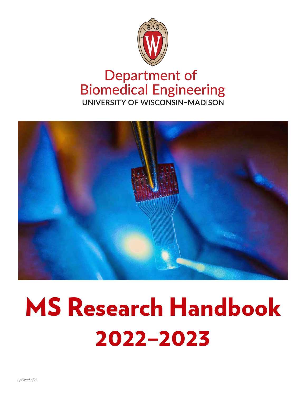

# **Department of Biomedical Engineering** UNIVERSITY OF WISCONSIN-MADISON



# MS Research Handbook 2022–2023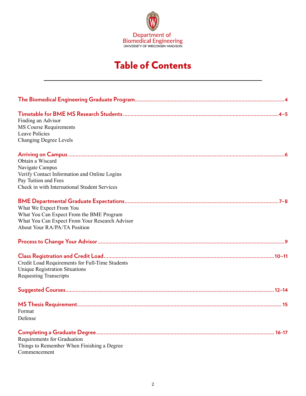

# Table of Contents

| Finding an Advisor<br><b>MS Course Requirements</b><br><b>Leave Policies</b><br><b>Changing Degree Levels</b>                                                |
|--------------------------------------------------------------------------------------------------------------------------------------------------------------|
| Obtain a Wiscard<br>Navigate Campus<br>Verify Contact Information and Online Logins<br>Pay Tuition and Fees<br>Check in with International Student Services  |
| What We Expect From You<br>What You Can Expect From the BME Program<br>What You Can Expect From Your Research Advisor<br><b>About Your RA/PA/TA Position</b> |
|                                                                                                                                                              |
| Credit Load Requirements for Full-Time Students<br><b>Unique Registration Situations</b><br><b>Requesting Transcripts</b>                                    |
|                                                                                                                                                              |
| Format<br>Defense                                                                                                                                            |
| Requirements for Graduation<br>Things to Remember When Finishing a Degree<br>Commencement                                                                    |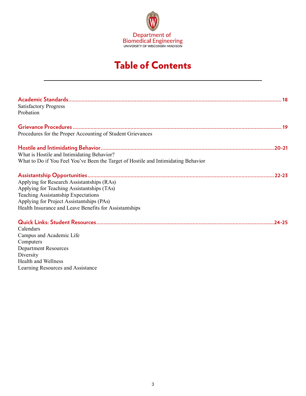

# Table of Contents

| <b>Satisfactory Progress</b>                                                       |
|------------------------------------------------------------------------------------|
| Probation                                                                          |
|                                                                                    |
| Procedures for the Proper Accounting of Student Grievances                         |
|                                                                                    |
| What is Hostile and Intimidating Behavior?                                         |
| What to Do if You Feel You've Been the Target of Hostile and Intimidating Behavior |
|                                                                                    |
| Applying for Research Assistantships (RAs)                                         |
| Applying for Teaching Assistantships (TAs)                                         |
| Teaching Assistantship Expectations                                                |
| Applying for Project Assistantships (PAs)                                          |
| Health Insurance and Leave Benefits for Assistantships                             |
|                                                                                    |
| Calendars                                                                          |
| Campus and Academic Life                                                           |
| Computers                                                                          |
| <b>Department Resources</b>                                                        |
| Diversity                                                                          |
| <b>Health and Wellness</b>                                                         |
| Learning Resources and Assistance                                                  |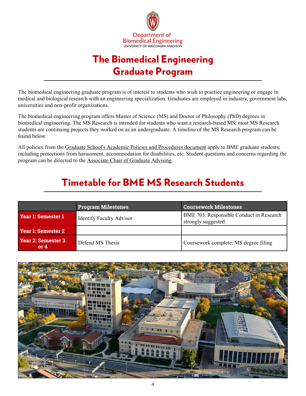

# The Biomedical Engineering Graduate Program

<span id="page-3-0"></span>The biomedical engineering graduate program is of interest to students who wish to practice engineering or engage in medical and biological research with an engineering specialization. Graduates are employed in industry, government labs, universities and non-profit organizations.

The biomedical engineering program offers Master of Science (MS) and Doctor of Philosophy (PhD) degrees in biomedical engineering. The MS Research is intended for students who want a research-based MS; most MS Research students are continuing projects they worked on as an undergraduate. A timeline of the MS Research program can be found below.

All policies from the [Graduate School's Academic Policies and Procedures document](https://hr.wisc.edu/policies/gapp/) apply to BME graduate students; including protections from harassment, accommodation for disabilities, etc. Student questions and concerns regarding the program can be directed to the [Associate Chair of Graduate Advising](https://engineering.wisc.edu/departments/biomedical-engineering/people/).

# Timetable for BME MS Research Students

|                              | <b>Program Milestones</b>       | <b>Coursework Milestones</b>                                          |
|------------------------------|---------------------------------|-----------------------------------------------------------------------|
| Year 1: Semester 1           | <b>Identify Faculty Advisor</b> | <b>BME 703: Responsible Conduct in Research</b><br>strongly suggested |
| Year 1: Semester 2           |                                 |                                                                       |
| Year 2: Semester 3<br>or $4$ | Defend MS Thesis                | Coursework complete; MS degree filing                                 |

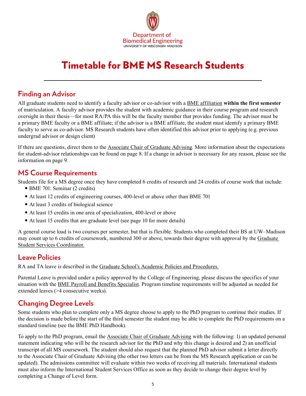

# Timetable for BME MS Research Students

### **Finding an Advisor**

All graduate students need to identify a faculty advisor or co-advisor with a [BME affiliation](https://directory.engr.wisc.edu/bme/faculty) **within the first semester** of matriculation. A faculty advisor provides the student with academic guidance in their course program and research oversight in their thesis—for most RA/PA this will be the faculty member that provides funding. The advisor must be a primary BME faculty or a BME affiliate; if the advisor is a BME affiliate, the student must identify a primary BME faculty to serve as co-advisor. MS Research students have often identified this advisor prior to applying (e.g. previous undergrad advisor or design client)

If there are questions, direct them to the [Associate Chair of Graduate Advising](https://engineering.wisc.edu/departments/biomedical-engineering/people/). More information about the expectations for student-advisor relationships can be found on page 8. If a change in advisor is necessary for any reason, please see the information on page 9.

### **MS Course Requirements**

Students file for a MS degree once they have completed 6 credits of research and 24 credits of course work that include:

- BME 701: Seminar (2 credits)
- At least 12 credits of engineering courses, 400-level or above other than BME 701
- At least 3 credits of biological science
- At least 15 credits in one area of specialization, 400-level or above
- At least 15 credits that are graduate level (see page 10 for more details)

A general course load is two courses per semester, but that is flexible. Students who completed their BS at UW–Madison may count up to 6 credits of coursework, numbered 300 or above, towards their degree with approval by the [Graduate](https://directory.engr.wisc.edu/bme/staff)  [Student Services Coordinator.](https://directory.engr.wisc.edu/bme/staff)

### **Leave Policies**

RA and TA leave is described in th[e Graduate School's Academic Policies and Procedures.](https://grad.wisc.edu/academic-policies/)

Parental Leave is provided under a policy approved by the College of Engineering, please discuss the specifics of your situation with the [BME Payroll and Benefits Specialist.](https://directory.engr.wisc.edu/bme/staff) Program timeline requirements will be adjusted as needed for extended leaves (>4 consecutive weeks).

### **Changing Degree Levels**

Some students who plan to complete only a MS degree choose to apply to the PhD program to continue their studies. If the decision is made before the start of the third semester the student may be able to complete the PhD requirements on a standard timeline (see the BME PhD Handbook).

To apply to the PhD program, email the [Associate Chair of Graduate Advising](https://engineering.wisc.edu/departments/biomedical-engineering/people/) with the following: 1) an updated personal statement indicating who will be the research advisor for the PhD and why this change is desired and 2) an unofficial transcript of all MS coursework. The student should also request that the planned PhD advisor submit a letter directly to the Associate Chair of Graduate Advising (the other two letters can be from the MS Research application or can be updated). The admissions committee will evaluate within two weeks of receiving all materials. International students must also inform the International Student Services Office as soon as they decide to change their degree level by completing a Change of Level form.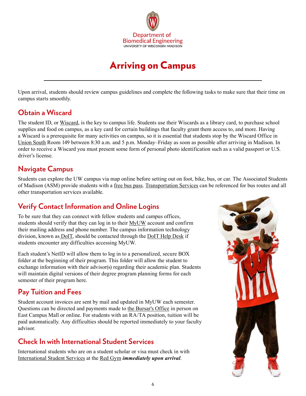

# Arriving on Campus

<span id="page-5-0"></span>Upon arrival, students should review campus guidelines and complete the following tasks to make sure that their time on campus starts smoothly.

### **Obtain a Wiscard**

The student ID, or [Wiscard,](https://wiscard.wisc.edu/) is the key to campus life. Students use their Wiscards as a library card, to purchase school supplies and food on campus, as a key card for certain buildings that faculty grant them access to, and more. Having a Wiscard is a prerequisite for many activities on campus, so it is essential that students stop by the Wiscard Office in [Union Sout](https://www.google.com/maps/dir/)h Room 149 between 8:30 a.m. and 5 p.m. Monday–Friday as soon as possible after arriving in Madison. In order to receive a Wiscard you must present some form of personal photo identification such as a valid passport or U.S. driver's license.

### **Navigate Campus**

Students can explore the UW campus via map online before setting out on foot, bike, bus, or car. The Associated Students of Madison (ASM) provide students with a [free bus pass](https://www.asm.wisc.edu/resources/buspass/). [Transportation Services](https://transportation.wisc.edu/) can be referenced for bus routes and all other transportation services available.

# **Verify Contact Information and Online Logins**

To be sure that they can connect with fellow students and campus offices, students should verify that they can log in to their [MyUW](http://www.wisc.edu/) account and confirm their mailing address and phone number. The campus information technology division, known a[s DoIT](https://it.wisc.edu/about/division-of-information-technology/), should be contacted through the [DoIT Help Desk](https://it.wisc.edu/help/) if students encounter any difficulties accessing MyUW.

Each student's NetID will allow them to log in to a personalized, secure BOX folder at the beginning of their program. This folder will allow the student to exchange information with their advisor(s) regarding their academic plan. Students will maintain digital versions of their degree program planning forms for each semester of their program here.

# **Pay Tuition and Fees**

Student account invoices are sent by mail and updated in MyUW each semester. Questions can be directed and payments made to [the Bursar's Office](https://bursar.wisc.edu/) in person on East Campus Mall or online. For students with an RA/TA position, tuition will be paid automatically. Any difficulties should be reported immediately to your faculty advisor.

# **Check In with International Student Services**

International students who are on a student scholar or visa must check in with [International Student Services](https://iss.wisc.edu/) at the [Red Gym](http://map.wisc.edu/s/rchuv9to) *immediately upon arrival*.

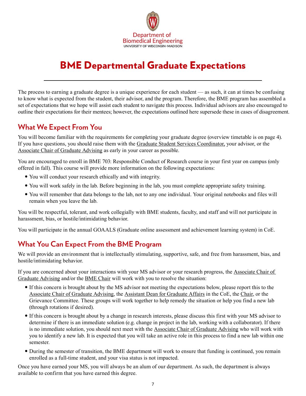

# <span id="page-6-0"></span>BME Departmental Graduate Expectations

The process to earning a graduate degree is a unique experience for each student — as such, it can at times be confusing to know what is expected from the student, their advisor, and the program. Therefore, the BME program has assembled a set of expectations that we hope will assist each student to navigate this process. Individual advisors are also encouraged to outline their expectations for their mentees; however, the expectations outlined here supersede these in cases of disagreement.

### **What We Expect From You**

You will become familiar with the requirements for completing your graduate degree (overview timetable is on page 4). If you have questions, you should raise them with the [Graduate Student Services Coordinator,](https://directory.engr.wisc.edu/bme/staff) your advisor, or the [Associate Chair of Graduate Advising](https://engineering.wisc.edu/departments/biomedical-engineering/people/) as early in your career as possible.

You are encouraged to enroll in BME 703: Responsible Conduct of Research course in your first year on campus (only offered in fall). This course will provide more information on the following expectations:

- You will conduct your research ethically and with integrity.
- You will work safely in the lab. Before beginning in the lab, you must complete appropriate safety training.
- You will remember that data belongs to the lab, not to any one individual. Your original notebooks and files will remain when you leave the lab.

You will be respectful, tolerant, and work collegially with BME students, faculty, and staff and will not participate in harassment, bias, or hostile/intimidating behavior.

You will participate in the annual GOAALS (Graduate online assessment and achievement learning system) in CoE.

# **What You Can Expect From the BME Program**

We will provide an environment that is intellectually stimulating, supportive, safe, and free from harassment, bias, and hostile/intimidating behavior.

If you are concerned about your interactions with your MS advisor or your research progress, the [Associate Chair of](https://engineering.wisc.edu/departments/biomedical-engineering/people/)  [Graduate Advising](https://engineering.wisc.edu/departments/biomedical-engineering/people/) and/or the [BME Chair](https://engineering.wisc.edu/departments/biomedical-engineering/people/) will work with you to resolve the situation:

- y If this concern is brought about by the MS advisor not meeting the expectations below, please report this to the [Associate Chair of Graduate Advising](https://engineering.wisc.edu/departments/biomedical-engineering/people/), the [Assistant Dean for Graduate Affairs](https://engineering.wisc.edu/about/leadership/) in the CoE, the [Chair](https://engineering.wisc.edu/departments/biomedical-engineering/people/), or the Grievance Committee. These groups will work together to help remedy the situation or help you find a new lab (through rotations if desired).
- y If this concern is brought about by a change in research interests, please discuss this first with your MS advisor to determine if there is an immediate solution (e.g. change in project in the lab, working with a collaborator). If there is no immediate solution, you should next meet with the [Associate Chair of Graduate Advising](https://engineering.wisc.edu/departments/biomedical-engineering/people/) who will work with you to identify a new lab. It is expected that you will take an active role in this process to find a new lab within one semester.
- During the semester of transition, the BME department will work to ensure that funding is continued, you remain enrolled as a full-time student, and your visa status is not impacted.

Once you have earned your MS, you will always be an alum of our department. As such, the department is always available to confirm that you have earned this degree.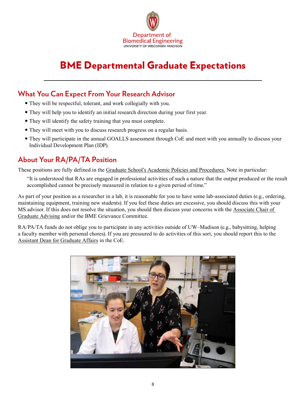

# BME Departmental Graduate Expectations

### **What You Can Expect From Your Research Advisor**

- They will be respectful, tolerant, and work collegially with you.
- They will help you to identify an initial research direction during your first year.
- They will identify the safety training that you must complete.
- They will meet with you to discuss research progress on a regular basis.
- They will participate in the annual GOALLS assessment through CoE and meet with you annually to discuss your Individual Development Plan (IDP).

# **About Your RA/PA/TA Position**

These positions are fully defined in the [Graduate School's Academic Policies and Procedures.](https://grad.wisc.edu/academic-policies/) Note in particular:

"It is understood that RAs are engaged in professional activities of such a nature that the output produced or the result accomplished cannot be precisely measured in relation to a given period of time."

As part of your position as a researcher in a lab, it is reasonable for you to have some lab-associated duties (e.g., ordering, maintaining equipment, training new students). If you feel these duties are excessive, you should discuss this with your MS advisor. If this does not resolve the situation, you should then discuss your concerns with the [Associate Chair of](https://engineering.wisc.edu/departments/biomedical-engineering/people/)  [Graduate Advising](https://engineering.wisc.edu/departments/biomedical-engineering/people/) and/or the BME Grievance Committee.

RA/PA/TA funds do not oblige you to participate in any activities outside of UW–Madison (e.g., babysitting, helping a faculty member with personal chores). If you are pressured to do activities of this sort, you should report this to the [Assistant Dean for Graduate Affairs](https://engineering.wisc.edu/about/leadership/) in the CoE.

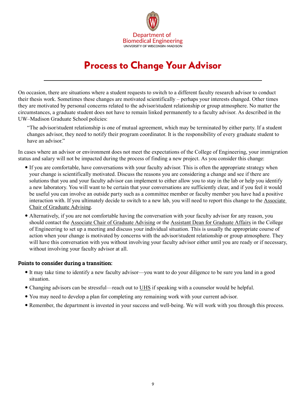

# Process to Change Your Advisor

<span id="page-8-0"></span>On occasion, there are situations where a student requests to switch to a different faculty research advisor to conduct their thesis work. Sometimes these changes are motivated scientifically – perhaps your interests changed. Other times they are motivated by personal concerns related to the advisor/student relationship or group atmosphere. No matter the circumstances, a graduate student does not have to remain linked permanently to a faculty advisor. As described in the UW–Madison Graduate School policies:

"The advisor/student relationship is one of mutual agreement, which may be terminated by either party. If a student changes advisor, they need to notify their program coordinator. It is the responsibility of every graduate student to have an advisor."

In cases where an advisor or environment does not meet the expectations of the College of Engineering, your immigration status and salary will not be impacted during the process of finding a new project. As you consider this change:

- If you are comfortable, have conversations with your faculty advisor. This is often the appropriate strategy when your change is scientifically motivated. Discuss the reasons you are considering a change and see if there are solutions that you and your faculty advisor can implement to either allow you to stay in the lab or help you identify a new laboratory. You will want to be certain that your conversations are sufficiently clear, and if you feel it would be useful you can involve an outside party such as a committee member or faculty member you have had a positive interaction with. If you ultimately decide to switch to a new lab, you will need to report this change to the [Associate](https://engineering.wisc.edu/departments/biomedical-engineering/people/)  [Chair of Graduate Advising.](https://engineering.wisc.edu/departments/biomedical-engineering/people/)
- Alternatively, if you are not comfortable having the conversation with your faculty advisor for any reason, you should contact the [Associate Chair of Graduate Advising](https://engineering.wisc.edu/departments/biomedical-engineering/people/) or the [Assistant Dean for Graduate Affairs](https://engineering.wisc.edu/about/leadership/) in the College of Engineering to set up a meeting and discuss your individual situation. This is usually the appropriate course of action when your change is motivated by concerns with the advisor/student relationship or group atmosphere. They will have this conversation with you without involving your faculty advisor either until you are ready or if necessary, without involving your faculty advisor at all.

#### **Points to consider during a transition:**

- y It may take time to identify a new faculty advisor—you want to do your diligence to be sure you land in a good situation.
- Changing advisors can be stressful—reach out to [UHS](https://www.uhs.wisc.edu/) if speaking with a counselor would be helpful.
- You may need to develop a plan for completing any remaining work with your current advisor.
- Remember, the department is invested in your success and well-being. We will work with you through this process.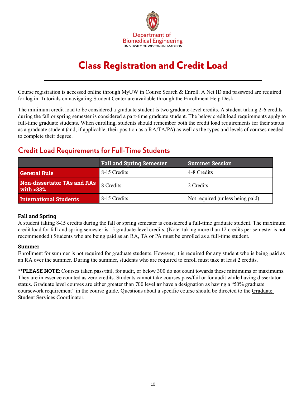

# Class Registration and Credit Load

<span id="page-9-0"></span>Course registration is accessed online through MyUW in Course Search & Enroll. A Net ID and password are required for log in. Tutorials on navigating Student Center are available through the [Enrollment Help Desk.](https://kb.wisc.edu/registrar/112699)

The minimum credit load to be considered a graduate student is two graduate-level credits. A student taking 2-6 credits during the fall or spring semester is considered a part-time graduate student. The below credit load requirements apply to full-time graduate students. When enrolling, students should remember both the credit load requirements for their status as a graduate student (and, if applicable, their position as a RA/TA/PA) as well as the types and levels of courses needed to complete their degree.

### **Credit Load Requirements for Full-Time Students**

|                                                              | <b>Fall and Spring Semester</b> | <b>Summer Session</b>            |
|--------------------------------------------------------------|---------------------------------|----------------------------------|
| <b>General Rule</b>                                          | 8-15 Credits                    | 4-8 Credits                      |
| <b>Non-dissertator TAs and RAs</b> 8 Credits<br>with $>33\%$ |                                 | 2 Credits                        |
| <b>International Students</b>                                | 8-15 Credits                    | Not required (unless being paid) |

### **Fall and Spring**

A student taking 8-15 credits during the fall or spring semester is considered a full-time graduate student. The maximum credit load for fall and spring semester is 15 graduate-level credits. (Note: taking more than 12 credits per semester is not recommended.) Students who are being paid as an RA, TA or PA must be enrolled as a full-time student.

### **Summer**

Enrollment for summer is not required for graduate students. However, it is required for any student who is being paid as an RA over the summer. During the summer, students who are required to enroll must take at least 2 credits.

**\*\*PLEASE NOTE:** Courses taken pass/fail, for audit, or below 300 do not count towards these minimums or maximums. They are in essence counted as zero credits. Students cannot take courses pass/fail or for audit while having dissertator status. Graduate level courses are either greater than 700 level **or** have a designation as having a "50% graduate coursework requirement" in the course guide. Questions about a specific course should be directed to the [Graduate](https://directory.engr.wisc.edu/bme/staff)  [Student Services Coordinator](https://directory.engr.wisc.edu/bme/staff).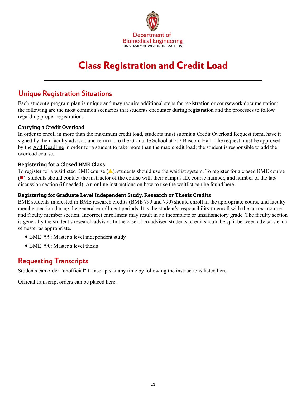

# Class Registration and Credit Load

### **Unique Registration Situations**

Each student's program plan is unique and may require additional steps for registration or coursework documentation; the following are the most common scenarios that students encounter during registration and the processes to follow regarding proper registration.

### **Carrying a Credit Overload**

In order to enroll in more than the maximum credit load, students must submit a Credit Overload Request form, have it signed by their faculty advisor, and return it to the Graduate School at 217 Bascom Hall. The request must be approved by the [Add Deadline](https://registrar.wisc.edu/dates/) in order for a student to take more than the max credit load; the student is responsible to add the overload course.

### **Registering for a Closed BME Class**

To register for a waitlisted BME course  $(\triangle)$ , students should use the waitlist system. To register for a closed BME course  $(\blacksquare)$ , students should contact the instructor of the course with their campus ID, course number, and number of the lab/ discussion section (if needed). An online instructions on how to use the waitlist can be found [here](https://kb.wisc.edu/registrar/15644).

### **Registering for Graduate Level Independent Study, Research or Thesis Credits**

BME students interested in BME research credits (BME 799 and 790) should enroll in the appropriate course and faculty member section during the general enrollment periods. It is the student's responsibility to enroll with the correct course and faculty member section. Incorrect enrollment may result in an incomplete or unsatisfactory grade. The faculty section is generally the student's research advisor. In the case of co-advised students, credit should be split between advisors each semester as appropriate.

- BME 799: Master's level independent study
- BME 790: Master's level thesis

### **Requesting Transcripts**

Students can order "unofficial" transcripts at any time by following the instructions listed [here](https://kb.wisc.edu/registrar/4146).

Official transcript orders can be place[d here.](https://registrar.wisc.edu/transcript/)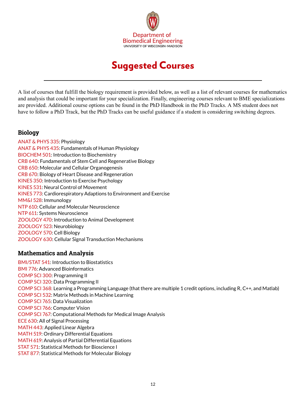

# Suggested Courses

<span id="page-11-0"></span>A list of courses that fulfill the biology requirement is provided below, as well as a list of relevant courses for mathematics and analysis that could be important for your specialization. Finally, engineering courses relevant to BME specializations are provided. Additional course options can be found in the PhD Handbook in the PhD Tracks. A MS student does not have to follow a PhD Track, but the PhD Tracks can be useful guidance if a student is considering switching degrees.

### **Biology**

ANAT & PHYS 335: Physiology ANAT & PHYS 435: Fundamentals of Human Physiology BIOCHEM 501: Introduction to Biochemistry CRB 640: Fundamentals of Stem Cell and Regenerative Biology CRB 650: Molecular and Cellular Organogenesis CRB 670: Biology of Heart Disease and Regeneration KINES 350: Introduction to Exercise Psychology KINES 531: Neural Control of Movement KINES 773: Cardiorespiratory Adaptions to Environment and Exercise MM&I 528: Immunology NTP 610: Cellular and Molecular Neuroscience NTP 611: Systems Neuroscience ZOOLOGY 470: Introduction to Animal Development ZOOLOGY 523: Neurobiology ZOOLOGY 570: Cell Biology ZOOLOGY 630: Cellular Signal Transduction Mechanisms

### **Mathematics and Analysis**

BMI/STAT 541: Introduction to Biostatistics BMI 776: Advanced Bioinformatics COMP SCI 300: Programming II COMP SCI 320: Data Programming II COMP SCI 368: Learning a Programming Language (that there are multiple 1 credit options, including R, C++, and Matlab) COMP SCI 532: Matrix Methods in Machine Learning COMP SCI 765: Data Visualization COMP SCI 766: Computer Vision COMP SCI 767: Computational Methods for Medical Image Analysis ECE 630: All of Signal Processing MATH 443: Applied Linear Algebra MATH 519: Ordinary Differential Equations MATH 619: Analysis of Partial Differential Equations STAT 571: Statistical Methods for Bioscience I STAT 877: Statistical Methods for Molecular Biology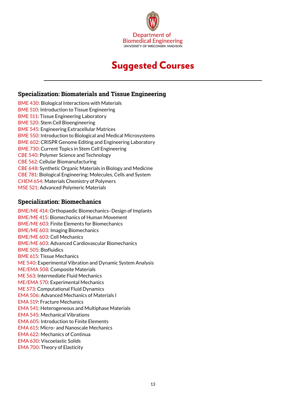

# Suggested Courses

### **Specialization: Biomaterials and Tissue Engineering**

BME 430: Biological Interactions with Materials BME 510: Introduction to Tissue Engineering BME 511: Tissue Engineering Laboratory BME 520: Stem Cell Bioengineering BME 545: Engineering Extracellular Matrices BME 550: Introduction to Biological and Medical Microsystems BME 602: CRISPR Genome Editing and Engineering Laboratory BME 730: Current Topics in Stem Cell Engineering CBE 540: Polymer Science and Technology CBE 562: Cellular Biomanufacturing CBE 648: Synthetic Organic Materials in Biology and Medicine CBE 781: Biological Engineering: Molecules, Cells and System CHEM 654: Materials Chemistry of Polymers MSE 521: Advanced Polymeric Materials

### **Specialization: Biomechanics**

BME/ME 414: Orthopaedic Biomechanics–Design of Implants BME/ME 415: Biomechanics of Human Movement BME/ME 603: Finite Elements for Biomechanics BME/ME 603: Imaging Biomechanics BME/ME 603: Cell Mechanics BME/ME 603: Advanced Cardiovascular Biomechanics BME 505: Biofluidics BME 615: Tissue Mechanics ME 540: Experimental Vibration and Dynamic System Analysis ME/EMA 508: Composite Materials ME 563: Intermediate Fluid Mechanics ME/EMA 570: Experimental Mechanics ME 573: Computational Fluid Dynamics EMA 506: Advanced Mechanics of Materials I EMA 519: Fracture Mechanics EMA 541: Heterogeneous and Multiphase Materials EMA 545: Mechanical Vibrations EMA 605: Introduction to Finite Elements EMA 615: Micro- and Nanoscale Mechanics EMA 622: Mechanics of Continua EMA 630: Viscoelastic Solids EMA 700: Theory of Elasticity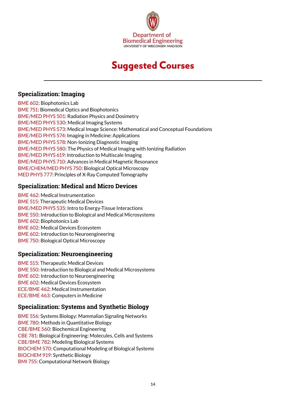

# Suggested Courses

### **Specialization: Imaging**

BME 602: Biophotonics Lab BME 751: Biomedical Optics and Biophotonics BME/MED PHYS 501: Radiation Physics and Dosimetry BME/MED PHYS 530: Medical Imaging Systems BME/MED PHYS 573: Medical Image Science: Mathematical and Conceptual Foundations BME/MED PHYS 574: Imaging in Medicine: Applications BME/MED PHYS 578: Non-Ionizing Diagnostic Imaging BME/MED PHYS 580: The Physics of Medical Imaging with Ionizing Radiation BME/MED PHYS 619: Introduction to Multiscale Imaging BME/MED PHYS 710: Advances in Medical Magnetic Resonance BME/CHEM/MED PHYS 750: Biological Optical Microscopy MED PHYS 777: Principles of X-Ray Computed Tomography

### **Specialization: Medical and Micro Devices**

BME 462: Medical Instrumentation BME 515: Therapeutic Medical Devices BME/MED PHYS 535: Intro to Energy-Tissue Interactions BME 550: Introduction to Biological and Medical Microsystems BME 602: Biophotonics Lab BME 602: Medical Devices Ecosystem BME 602: Introduction to Neuroengineering BME 750: Biological Optical Microscopy

### **Specialization: Neuroengineering**

BME 515: Therapeutic Medical Devices BME 550: Introduction to Biological and Medical Microsystems BME 602: Introduction to Neuroengineering BME 602: Medical Devices Ecosystem ECE/BME 462: Medical Instrumentation ECE/BME 463: Computers in Medicine

### **Specialization: Systems and Synthetic Biology**

BME 556: Systems Biology: Mammalian Signaling Networks BME 780: Methods in Quantitative Biology CBE/BME 560: Biochemical Engineering CBE 781: Biological Engineering: Molecules, Cells and Systems CBE/BME 782: Modeling Biological Systems BIOCHEM 570: Computational Modeling of Biological Systems BIOCHEM 919: Synthetic Biology BMI 755: Computational Network Biology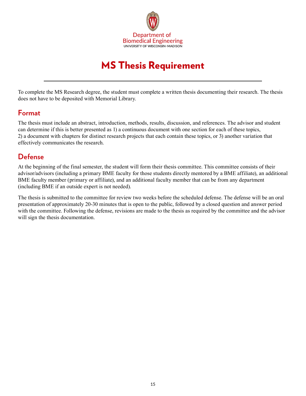

# MS Thesis Requirement

<span id="page-14-0"></span>To complete the MS Research degree, the student must complete a written thesis documenting their research. The thesis does not have to be deposited with Memorial Library.

### **Format**

The thesis must include an abstract, introduction, methods, results, discussion, and references. The advisor and student can determine if this is better presented as 1) a continuous document with one section for each of these topics, 2) a document with chapters for distinct research projects that each contain these topics, or 3) another variation that effectively communicates the research.

# **Defense**

At the beginning of the final semester, the student will form their thesis committee. This committee consists of their advisor/advisors (including a primary BME faculty for those students directly mentored by a BME affiliate), an additional BME faculty member (primary or affiliate), and an additional faculty member that can be from any department (including BME if an outside expert is not needed).

The thesis is submitted to the committee for review two weeks before the scheduled defense. The defense will be an oral presentation of approximately 20-30 minutes that is open to the public, followed by a closed question and answer period with the committee. Following the defense, revisions are made to the thesis as required by the committee and the advisor will sign the thesis documentation.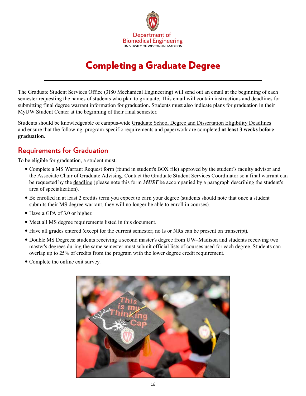

# Completing a Graduate Degree

<span id="page-15-0"></span>The Graduate Student Services Office (3180 Mechanical Engineering) will send out an email at the beginning of each semester requesting the names of students who plan to graduate. This email will contain instructions and deadlines for submitting final degree warrant information for graduation. Students must also indicate plans for graduation in their MyUW Student Center at the beginning of their final semester.

Students should be knowledgeable of campus-wide [Graduate School Degree and Dissertation Eligibility Deadlines](https://grad.wisc.edu/current-students/masters-guide/) and ensure that the following, program-specific requirements and paperwork are completed **at least 3 weeks before graduation**.

### **Requirements for Graduation**

To be eligible for graduation, a student must:

- Complete a MS Warrant Request form (found in student's BOX file) approved by the student's faculty advisor and the [Associate Chair of Graduate Advising.](https://engineering.wisc.edu/departments/biomedical-engineering/people/) Contact the [Graduate Student Services Coordinator](https://directory.engr.wisc.edu/bme/staff) so a final warrant can be requested by the [deadline](https://grad.wisc.edu/current-students/masters-guide/) (please note this form *MUST* be accompanied by a paragraph describing the student's area of specialization).
- y Be enrolled in at least 2 credits term you expect to earn your degree (students should note that once a student submits their MS degree warrant, they will no longer be able to enroll in courses).
- Have a GPA of 3.0 or higher.
- Meet all MS degree requirements listed in this document.
- y Have all grades entered (except for the current semester; no Is or NRs can be present on transcript).
- [Double MS Degrees](https://grad.wisc.edu/documents/double-degrees/): students receiving a second master's degree from UW–Madison and students receiving two master's degrees during the same semester must submit official lists of courses used for each degree. Students can overlap up to 25% of credits from the program with the lower degree credit requirement.
- Complete the online exit survey.

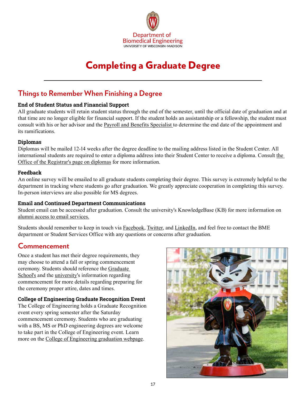

# Completing a Graduate Degree

### **Things to Remember When Finishing a Degree**

### **End of Student Status and Financial Support**

All graduate students will retain student status through the end of the semester, until the official date of graduation and at that time are no longer eligible for financial support. If the student holds an assistantship or a fellowship, the student must consult with his or her advisor and the [Payroll and Benefits Specialist](https://directory.engr.wisc.edu/bme/staff) to determine the end date of the appointment and its ramifications.

### **Diplomas**

Diplomas will be mailed 12-14 weeks after the degree deadline to the mailing address listed in the Student Center. All international students are required to enter a diploma address into their Student Center to receive a diploma. Consult [the](https://registrar.wisc.edu/diplomas/)  [Office of the Registrar's page on diplomas](https://registrar.wisc.edu/diplomas/) for more information.

### **Feedback**

An online survey will be emailed to all graduate students completing their degree. This survey is extremely helpful to the department in tracking where students go after graduation. We greatly appreciate cooperation in completing this survey. In-person interviews are also possible for MS degrees.

### **Email and Continued Department Communications**

Student email can be accessed after graduation. Consult the university's KnowledgeBase (KB) for more information on [alumni access to email services.](https://kb.wisc.edu/page.php?id=6023)

Students should remember to keep in touch via [Facebook,](https://www.facebook.com/UWBME/) [Twitter,](https://twitter.com/UWMadison_BME) and [LinkedIn](https://www.linkedin.com/groups/5134683), and feel free to contact the BME department or Student Services Office with any questions or concerns after graduation.

### **Commencement**

Once a student has met their degree requirements, they may choose to attend a fall or spring commencement ceremony. Students should reference the [Graduate](https://grad.wisc.edu/current-students/masters-guide/)  [School](https://grad.wisc.edu/current-students/masters-guide/)'s and the [university](https://commencement.wisc.edu/)'s information regarding commencement for more details regarding preparing for the ceremony proper attire, dates and times.

### **College of Engineering Graduate Recognition Event**

The College of Engineering holds a Graduate Recognition event every spring semester after the Saturday commencement ceremony. Students who are graduating with a BS, MS or PhD engineering degrees are welcome to take part in the College of Engineering event. Learn more on the [College of Engineering graduation webpage.](https://graduation.engr.wisc.edu/)

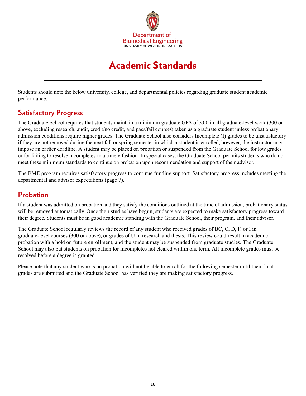

# Academic Standards

<span id="page-17-0"></span>Students should note the below university, college, and departmental policies regarding graduate student academic performance:

### **Satisfactory Progress**

The Graduate School requires that students maintain a minimum graduate GPA of 3.00 in all graduate-level work (300 or above, excluding research, audit, credit/no credit, and pass/fail courses) taken as a graduate student unless probationary admission conditions require higher grades. The Graduate School also considers Incomplete (I) grades to be unsatisfactory if they are not removed during the next fall or spring semester in which a student is enrolled; however, the instructor may impose an earlier deadline. A student may be placed on probation or suspended from the Graduate School for low grades or for failing to resolve incompletes in a timely fashion. In special cases, the Graduate School permits students who do not meet these minimum standards to continue on probation upon recommendation and support of their advisor.

The BME program requires satisfactory progress to continue funding support. Satisfactory progress includes meeting the departmental and advisor expectations (page 7).

### **Probation**

If a student was admitted on probation and they satisfy the conditions outlined at the time of admission, probationary status will be removed automatically. Once their studies have begun, students are expected to make satisfactory progress toward their degree. Students must be in good academic standing with the Graduate School, their program, and their advisor.

The Graduate School regularly reviews the record of any student who received grades of BC, C, D, F, or I in graduate-level courses (300 or above), or grades of U in research and thesis. This review could result in academic probation with a hold on future enrollment, and the student may be suspended from graduate studies. The Graduate School may also put students on probation for incompletes not cleared within one term. All incomplete grades must be resolved before a degree is granted.

Please note that any student who is on probation will not be able to enroll for the following semester until their final grades are submitted and the Graduate School has verified they are making satisfactory progress.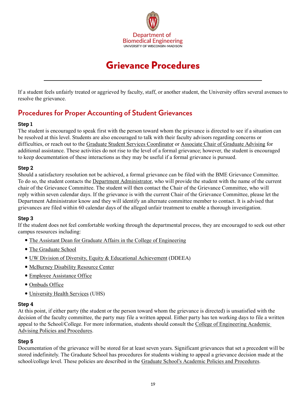

# Grievance Procedures

<span id="page-18-0"></span>If a student feels unfairly treated or aggrieved by faculty, staff, or another student, the University offers several avenues to resolve the grievance.

# **Procedures for Proper Accounting of Student Grievances**

### **Step 1**

The student is encouraged to speak first with the person toward whom the grievance is directed to see if a situation can be resolved at this level. Students are also encouraged to talk with their faculty advisors regarding concerns or difficulties, or reach out to the [Graduate Student Services Coordinator](https://directory.engr.wisc.edu/bme/staff) or [Associate Chair of Graduate Advising](https://engineering.wisc.edu/departments/biomedical-engineering/people/) for additional assistance. These activities do not rise to the level of a formal grievance; however, the student is encouraged to keep documentation of these interactions as they may be useful if a formal grievance is pursued.

### **Step 2**

Should a satisfactory resolution not be achieved, a formal grievance can be filed with the BME Grievance Committee. To do so, the student contacts the [Department Administrator,](https://engineering.wisc.edu/departments/biomedical-engineering/people/) who will provide the student with the name of the current chair of the Grievance Committee. The student will then contact the Chair of the Grievance Committee, who will reply within seven calendar days. If the grievance is with the current Chair of the Grievance Committee, please let the Department Administrator know and they will identify an alternate committee member to contact. It is advised that grievances are filed within 60 calendar days of the alleged unfair treatment to enable a thorough investigation.

### **Step 3**

If the student does not feel comfortable working through the departmental process, they are encouraged to seek out other campus resources including:

- [The Assistant Dean for Graduate Affairs in the College of Engineering](https://engineering.wisc.edu/about/leadership/)
- [The Graduate School](https://grad.wisc.edu/current-students/)
- [UW Division of Diversity, Equity & Educational Achievement](https://diversity.wisc.edu/) (DDEEA)
- [McBurney Disability Resource Center](https://mcburney.wisc.edu/)
- [Employee Assistance Office](https://hr.wisc.edu/employee-assistance-office/)
- [Ombuds Office](https://ombuds.wisc.edu/)
- [University Health Services](https://www.uhs.wisc.edu/) (UHS)

### **Step 4**

At this point, if either party (the student or the person toward whom the grievance is directed) is unsatisfied with the decision of the faculty committee, the party may file a written appeal. Either party has ten working days to file a written appeal to the School/College. For more information, students should consult the [College of Engineering Academic](https://intranet.engineering.wisc.edu/graduate-students/resources-and-advising/)  [Advising Policies and Procedures](https://intranet.engineering.wisc.edu/graduate-students/resources-and-advising/).

### **Step 5**

Documentation of the grievance will be stored for at least seven years. Significant grievances that set a precedent will be stored indefinitely. The Graduate School has procedures for students wishing to appeal a grievance decision made at the school/college level. These policies are described in the Graduate School's [Academic Policies](https://grad.wisc.edu/academic-policies/) and Procedures.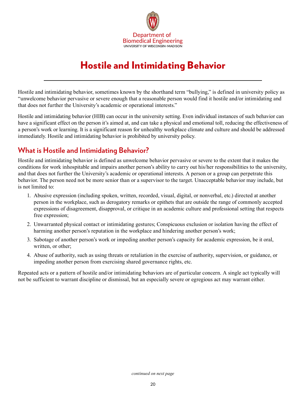

# Hostile and Intimidating Behavior

<span id="page-19-0"></span>Hostile and intimidating behavior, sometimes known by the shorthand term "bullying," is defined in university policy as "unwelcome behavior pervasive or severe enough that a reasonable person would find it hostile and/or intimidating and that does not further the University's academic or operational interests."

Hostile and intimidating behavior (HIB) can occur in the university setting. Even individual instances of such behavior can have a significant effect on the person it's aimed at, and can take a physical and emotional toll, reducing the effectiveness of a person's work or learning. It is a significant reason for unhealthy workplace climate and culture and should be addressed immediately. Hostile and intimidating behavior is prohibited by university policy.

### **What is Hostile and Intimidating Behavior?**

Hostile and intimidating behavior is defined as unwelcome behavior pervasive or severe to the extent that it makes the conditions for work inhospitable and impairs another person's ability to carry out his/her responsibilities to the university, and that does not further the University's academic or operational interests. A person or a group can perpetrate this behavior. The person need not be more senior than or a supervisor to the target. Unacceptable behavior may include, but is not limited to:

- 1. Abusive expression (including spoken, written, recorded, visual, digital, or nonverbal, etc.) directed at another person in the workplace, such as derogatory remarks or epithets that are outside the range of commonly accepted expressions of disagreement, disapproval, or critique in an academic culture and professional setting that respects free expression;
- 2. Unwarranted physical contact or intimidating gestures; Conspicuous exclusion or isolation having the effect of harming another person's reputation in the workplace and hindering another person's work;
- 3. Sabotage of another person's work or impeding another person's capacity for academic expression, be it oral, written, or other;
- 4. Abuse of authority, such as using threats or retaliation in the exercise of authority, supervision, or guidance, or impeding another person from exercising shared governance rights, etc.

Repeated acts or a pattern of hostile and/or intimidating behaviors are of particular concern. A single act typically will not be sufficient to warrant discipline or dismissal, but an especially severe or egregious act may warrant either.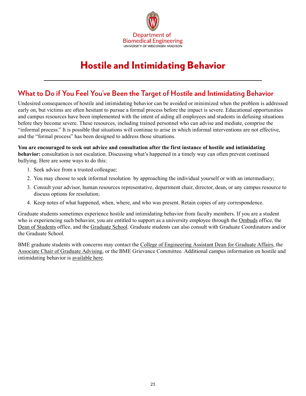

# Hostile and Intimidating Behavior

### **What to Do if You Feel You've Been the Target of Hostile and Intimidating Behavior**

Undesired consequences of hostile and intimidating behavior can be avoided or minimized when the problem is addressed early on, but victims are often hesitant to pursue a formal process before the impact is severe. Educational opportunities and campus resources have been implemented with the intent of aiding all employees and students in defusing situations before they become severe. These resources, including trained personnel who can advise and mediate, comprise the "informal process." It is possible that situations will continue to arise in which informal interventions are not effective, and the "formal process" has been designed to address those situations.

#### **You are encouraged to seek out advice and consultation after the first instance of hostile and intimidating behavior:** consultation is not escalation. Discussing what's happened in a timely way can often prevent continued bullying. Here are some ways to do this:

- 1. Seek advice from a trusted colleague;
- 2. You may choose to seek informal resolution by approaching the individual yourself or with an intermediary;
- 3. Consult your advisor, human resources representative, department chair, director, dean, or any campus resource to discuss options for resolution;
- 4. Keep notes of what happened, when, where, and who was present. Retain copies of any correspondence.

Graduate students sometimes experience hostile and intimidating behavior from faculty members. If you are a student who is experiencing such behavior, you are entitled to support as a university employee through the [Ombuds](https://ombuds.wisc.edu/) office, the [Dean of Students](https://doso.students.wisc.edu/) office, and the [Graduate School](https://grad.wisc.edu/). Graduate students can also consult with Graduate Coordinators and/or the Graduate School.

BME graduate students with concerns may contact the [College of Engineering Assistant Dean for Graduate Affairs,](https://engineering.wisc.edu/about/leadership/) the [Associate Chair of Graduate Advising,](https://engineering.wisc.edu/departments/biomedical-engineering/people/) or the BME Grievance Committee. Additional campus information on hostile and intimidating behavior is [available here.](https://hr.wisc.edu/hib/)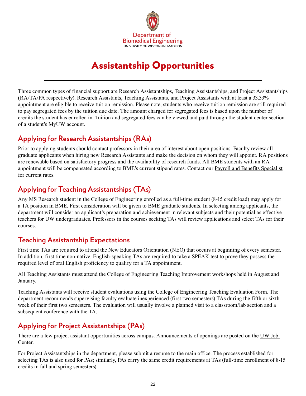

# Assistantship Opportunities

<span id="page-21-0"></span>Three common types of financial support are Research Assistantships, Teaching Assistantships, and Project Assistantships (RA/TA/PA respectively). Research Assistants, Teaching Assistants, and Project Assistants with at least a 33.33% appointment are eligible to receive tuition remission. Please note, students who receive tuition remission are still required to pay segregated fees by the tuition due date. The amount charged for segregated fees is based upon the number of credits the student has enrolled in. Tuition and segregated fees can be viewed and paid through the student center section of a student's MyUW account.

# **Applying for Research Assistantships (RAs)**

Prior to applying students should contact professors in their area of interest about open positions. Faculty review all graduate applicants when hiring new Research Assistants and make the decision on whom they will appoint. RA positions are renewable based on satisfactory progress and the availability of research funds. All BME students with an RA appointment will be compensated according to BME's current stipend rates. Contact our [Payroll and Benefits Specialist](https://directory.engr.wisc.edu/bme/staff) for current rates

# **Applying for Teaching Assistantships (TAs)**

Any MS Research student in the College of Engineering enrolled as a full-time student (8-15 credit load) may apply for a TA position in BME. First consideration will be given to BME graduate students. In selecting among applicants, the department will consider an applicant's preparation and achievement in relevant subjects and their potential as effective teachers for UW undergraduates. Professors in the courses seeking TAs will review applications and select TAs for their courses.

# **Teaching Assistantship Expectations**

First time TAs are required to attend the New Educators Orientation (NEO) that occurs at beginning of every semester. In addition, first time non-native, English-speaking TAs are required to take a SPEAK test to prove they possess the required level of oral English proficiency to qualify for a TA appointment.

All Teaching Assistants must attend the College of Engineering Teaching Improvement workshops held in August and January.

Teaching Assistants will receive student evaluations using the College of Engineering Teaching Evaluation Form. The department recommends supervising faculty evaluate inexperienced (first two semesters) TAs during the fifth or sixth week of their first two semesters. The evaluation will usually involve a planned visit to a classroom/lab section and a subsequent conference with the TA.

# **Applying for Project Assistantships (PAs)**

There are a few project assistant opportunities across campus. Announcements of openings are posted on the UW Job [Center](https://studentjobs.wisc.edu/).

For Project Assistantships in the department, please submit a resume to the main office. The process established for selecting TAs is also used for PAs; similarly, PAs carry the same credit requirements at TAs (full-time enrollment of 8-15 credits in fall and spring semesters).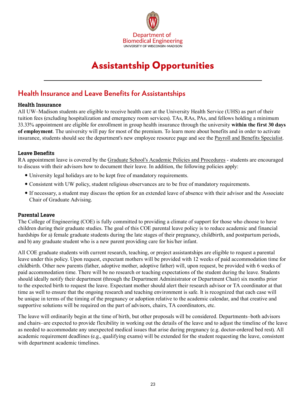

# Assistantship Opportunities

### **Health Insurance and Leave Benefits for Assistantships**

#### **Health Insurance**

All UW–Madison students are eligible to receive health care at the University Health Service (UHS) as part of their tuition fees (excluding hospitalization and emergency room services). TAs, RAs, PAs, and fellows holding a minimum 33.33% appointment are eligible for enrollment in group health insurance through the university **within the first 30 days of employment**. The university will pay for most of the premium. To learn more about benefits and in order to activate insurance, students should see the department's new employee resource page and see the [Payroll and Benefits Specialist](https://directory.engr.wisc.edu/bme/staff).

#### **Leave Benefits**

RA appointment leave is covered by the [Graduate School's Academic Policies and Procedures](https://grad.wisc.edu/academic-policies/) - students are encouraged to discuss with their advisors how to document their leave. In addition, the following policies apply:

- University legal holidays are to be kept free of mandatory requirements.
- Consistent with UW policy, student religious observances are to be free of mandatory requirements.
- If necessary, a student may discuss the option for an extended leave of absence with their advisor and the Associate Chair of Graduate Advising.

### **Parental Leave**

The College of Engineering (COE) is fully committed to providing a climate of support for those who choose to have children during their graduate studies. The goal of this COE parental leave policy is to reduce academic and financial hardships for a) female graduate students during the late stages of their pregnancy, childbirth, and postpartum periods, and b) any graduate student who is a new parent providing care for his/her infant.

All COE graduate students with current research, teaching, or project assistantships are eligible to request a parental leave under this policy. Upon request, expectant mothers will be provided with 12 weeks of paid accommodation time for childbirth. Other new parents (father, adoptive mother, adoptive father) will, upon request, be provided with 6 weeks of paid accommodation time. There will be no research or teaching expectations of the student during the leave. Students should ideally notify their department (through the Department Administrator or Department Chair) six months prior to the expected birth to request the leave. Expectant mother should alert their research advisor or TA coordinator at that time as well to ensure that the ongoing research and teaching environment is safe. It is recognized that each case will be unique in terms of the timing of the pregnancy or adoption relative to the academic calendar, and that creative and supportive solutions will be required on the part of advisors, chairs, TA coordinators, etc.

The leave will ordinarily begin at the time of birth, but other proposals will be considered. Departments–both advisors and chairs–are expected to provide flexibility in working out the details of the leave and to adjust the timeline of the leave as needed to accommodate any unexpected medical issues that arise during pregnancy (e.g. doctor-ordered bed rest). All academic requirement deadlines (e.g., qualifying exams) will be extended for the student requesting the leave, consistent with department academic timelines.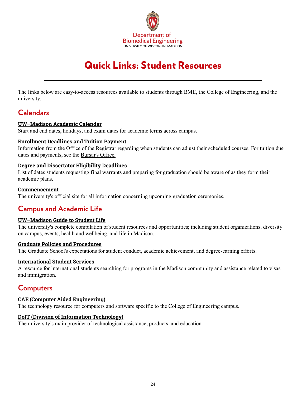

# Quick Links: Student Resources

<span id="page-23-0"></span>The links below are easy-to-access resources available to students through BME, the College of Engineering, and the university.

### **Calendars**

### **[UW–Madison Academic Calendar](https://secfac.wisc.edu/academic-calendar/)**

Start and end dates, holidays, and exam dates for academic terms across campus.

### **[Enrollment Deadlines and Tuition Payment](https://registrar.wisc.edu/dates/)**

Information from the Office of the Registrar regarding when students can adjust their scheduled courses. For tuition due dates and payments, see the [Bursar's Office.](https://bursar.wisc.edu/student-tuition-account)

#### **[Degree and Dissertator Eligibility Deadlines](https://grad.wisc.edu/currentstudents/degreedeadlines/)**

List of dates students requesting final warrants and preparing for graduation should be aware of as they form their academic plans.

#### **[Commencement](https://commencement.wisc.edu/)**

The university's official site for all information concerning upcoming graduation ceremonies.

# **Campus and Academic Life**

### **[UW–Madison Guide to Student Life](https://www.wisc.edu/student-life/)**

The university's complete compilation of student resources and opportunities; including student organizations, diversity on campus, events, health and wellbeing, and life in Madison.

#### **[Graduate Policies and Procedures](https://grad.wisc.edu/academic-policies/)**

The Graduate School's expectations for student conduct, academic achievement, and degree-earning efforts.

#### **[International Student Services](https://iss.wisc.edu)**

A resource for international students searching for programs in the Madison community and assistance related to visas and immigration.

### **Computers**

### **[CAE \(Computer Aided Engineering\)](https://www.cae.wisc.edu/)**

The technology resource for computers and software specific to the College of Engineering campus.

### **[DoIT \(Division of Information Technology\)](https://it.wisc.edu/)**

The university's main provider of technological assistance, products, and education.